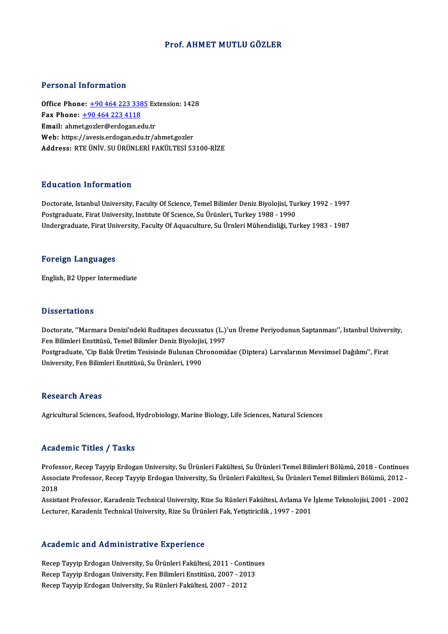#### Prof. AHMET MUTLU GÖZLER

#### Personal Information

Personal Information<br>Office Phone: <u>+90 464 223 3385</u> Extension: 1428<br>Fax Phone: 190 464 223 4119 Fax Phone:  $\pm 90\,464\,223\,4118$ <br>Email: ahmet.gozler@erdogan.edu.tr Office Phone: <u>+90 464 223 3385</u> Ex<br>Fax Phone: <u>+90 464 223 4118</u><br>Email: ahme[t.gozler@erdogan.e](tel:+90 464 223 4118)[du](tel:+90 464 223 3385).tr Web: https://avesis.erdogan.edu.tr/ahmet.gozler Address: RTEÜNİV.SUÜRÜNLERİFAKÜLTESİ53100-RİZE

#### Education Information

Education Information<br>Doctorate, Istanbul University, Faculty Of Science, Temel Bilimler Deniz Biyolojisi, Turkey 1992 - 1997<br>Restanduate First University, Institute Of Science, Su Ürünleri, Turkey 1999 - 1999 Postgraduate, Firat University, Institute Of Science, Su Ürünleri, Turkey 1988 - 1990<br>Undergraduate, Firat University, Faculty Of Aquaculture, Su Ürnleri Mühendisliği, Turkey 1983 - 1987 Doctorate, Istanbul University, Faculty Of Science, Temel Bilimler Deniz Biyolojisi, Turkey 1992 - 1997<br>Postgraduate, Firat University, Institute Of Science, Su Ürünleri, Turkey 1988 - 1990<br>Undergraduate, Firat University,

#### Foreign Languages

English,B2Upper Intermediate

#### **Dissertations**

Dissertations<br>Doctorate, ''Marmara Denizi'ndeki Ruditapes decussatus (L.)'un Üreme Periyodunun Saptanması'', Istanbul University,<br>Fen Pilimleri Enstitüsü, Temel Bilimler Deniz Bivoleijsi, 1997 Bissosi tationis<br>Doctorate, ''Marmara Denizi'ndeki Ruditapes decussatus (L.)<br>Fen Bilimleri Enstitüsü, Temel Bilimler Deniz Biyolojisi, 1997<br>Postsraduate ''Sin Balık Üretim Tesisinde Bulunen Chronomic Doctorate, ''Marmara Denizi'ndeki Ruditapes decussatus (L.)'un Üreme Periyodunun Saptanması'', Istanbul Univer<br>Fen Bilimleri Enstitüsü, Temel Bilimler Deniz Biyolojisi, 1997<br>Postgraduate, 'Cip Balık Üretim Tesisinde Buluna Fen Bilimleri Enstitüsü, Temel Bilimler Deniz Biyolojis<br>Postgraduate, 'Cip Balık Üretim Tesisinde Bulunan Ch<br>University, Fen Bilimleri Enstitüsü, Su Ürünleri, 1990 University, Fen Bilimleri Enstitüsü, Su Ürünleri, 1990<br>Research Areas

Agricultural Sciences, Seafood, Hydrobiology, Marine Biology, Life Sciences, Natural Sciences

#### Academic Titles / Tasks

**Academic Titles / Tasks**<br>Professor, Recep Tayyip Erdogan University, Su Ürünleri Fakültesi, Su Ürünleri Temel Bilimleri Bölümü, 2018 - Continues<br>Assesiste Brefessor, Becep Tayyip Erdoson University, Su Ürünleri Fakültesi, rsodd enne "Frises", "Flasne<br>Professor, Recep Tayyip Erdogan University, Su Ürünleri Fakültesi, Su Ürünleri Temel Bilimleri Bölümü, 2018 - Continues<br>Associate Professor, Recep Tayyip Erdogan University, Su Ürünleri Fakülte Profes<br>Assoc<br>2018 Associate Professor, Recep Tayyip Erdogan University, Su Ürünleri Fakültesi, Su Ürünleri Temel Bilimleri Bölümü, 2012 -<br>2018<br>Assistant Professor, Karadeniz Technical University, Rize Su Rünleri Fakültesi, Avlama Ve İşleme

2018<br>Assistant Professor, Karadeniz Technical University, Rize Su Rünleri Fakültesi, Avlama Ve<br>Lecturer, Karadeniz Technical University, Rize Su Ürünleri Fak, Yetiştiricilik , 1997 - 2001 Lecturer, Karadeniz Technical University, Rize Su Ürünleri Fak, Yetiştiricilik , 1997 - 2001<br>Academic and Administrative Experience

Academic and Administrative Experience<br>Recep Tayyip Erdogan University, Su Ürünleri Fakültesi, 2011 - Continues<br>Recep Tayyip Erdogan University, Fon Bilimleri Enstitüsü, 2007–2012 Recep Tayyip Erdogan University, Su Ürünleri Fakültesi, 2011 - Continu<br>Recep Tayyip Erdogan University, Fen Bilimleri Enstitüsü, 2007 - 2013<br>Recep Tayyip Erdogan University, Su Bünleri Enstitüsü, 2007 - 2013 Recep Tayyip Erdogan University, Su Ürünleri Fakültesi, 2011 - Con<br>Recep Tayyip Erdogan University, Fen Bilimleri Enstitüsü, 2007 - 20<br>Recep Tayyip Erdogan University, Su Rünleri Fakültesi, 2007 - 2012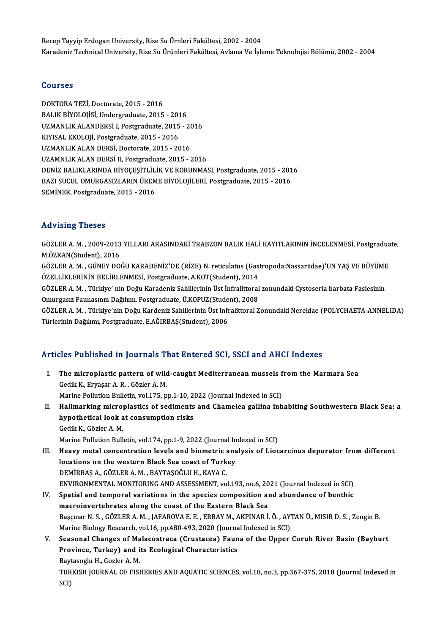Recep Tayyip Erdogan University, Rize Su Ürnleri Fakültesi, 2002 - 2004 Karadeniz Technical University, Rize Su Ürünleri Fakültesi, Avlama Ve İşleme Teknolojisi Bölümü, 2002 - 2004

## Courses

DOKTORATEZİ,Doctorate,2015 -2016 BOUTSSS<br>DOKTORA TEZİ, Doctorate, 2015 - 2016<br>BALIK BİYOLOJİSİ, Undergraduate, 2015 - 2016<br>UZMANLIK ALANDERSİ L Bostaraduata, 2015 DOKTORA TEZİ, Doctorate, 2015 - 2016<br>BALIK BİYOLOJİSİ, Undergraduate, 2015 - 2016<br>UZMANLIK ALANDERSİ I, Postgraduate, 2015 - 2016<br>KIVISAL EKOLOJİ, Bostgraduate, 2015 - 2016 BALIK BİYOLOJİSİ, Undergraduate, 2015 - 201<br>UZMANLIK ALANDERSİ I, Postgraduate, 2015<br>KIYISAL EKOLOJİ, Postgraduate, 2015 - 2016<br>UZMANLIK ALAN DERSİ, Dostarate, 2015 - 20 UZMANLIK ALANDERSİ I, Postgraduate, 2015 - 20<br>KIYISAL EKOLOJİ, Postgraduate, 2015 - 2016<br>UZMANLIK ALAN DERSİ, Doctorate, 2015 - 2016<br>UZAMNLIK ALAN DERSİ IL Rostgraduate, 2015 KIYISAL EKOLOJİ, Postgraduate, 2015 - 2016<br>UZMANLIK ALAN DERSİ, Doctorate, 2015 - 2016<br>UZAMNLIK ALAN DERSİ II, Postgraduate, 2015 - 2016 UZMANLIK ALAN DERSİ, Doctorate, 2015 - 2016<br>UZAMNLIK ALAN DERSİ II, Postgraduate, 2015 - 2016<br>DENİZ BALIKLARINDA BİYOÇEŞİTLİLİK VE KORUNMASI, Postgraduate, 2015 - 2016<br>BAZI SUCUL OMURCASIZI ARIN ÜREME RİYOLOJU ERL Postgrad UZAMNLIK ALAN DERSİ II, Postgraduate, 2015 - 2016<br>DENİZ BALIKLARINDA BİYOÇEŞİTLİLİK VE KORUNMASI, Postgraduate, 2015 - 2016<br>BAZI SUCUL OMURGASIZLARIN ÜREME BİYOLOJİLERİ, Postgraduate, 2015 - 2016<br>SEMİNER, Rostgraduate, 201 DENİZ BALIKLARINDA BİYOÇEŞİTLİL<br>BAZI SUCUL OMURGASIZLARIN ÜREM<br>SEMİNER, Postgraduate, 2015 - 2016 SEMINER, Postgraduate, 2015 - 2016<br>Advising Theses

Advising Theses<br>GÖZLER A. M. , 2009-2013 YILLARI ARASINDAKİ TRABZON BALIK HALİ KAYITLARININ İNCELENMESİ, Postgraduate,<br>MÖZKAN(Student), 2016 MAYISHING THUSUS<br>GÖZLER A. M. , 2009-2013<br>M.ÖZKAN(Student), 2016<br>GÖZLER A. M. GÜNEV DO GÖZLER A. M. , 2009-2013 YILLARI ARASINDAKİ TRABZON BALIK HALİ KAYITLARININ İNCELENMESİ, Postgradua<br>M.ÖZKAN(Student), 2016<br>GÖZLER A. M. , GÜNEY DOĞU KARADENİZ'DE (RİZE) N. reticulatus (Gastropoda:Nassariidae)'UN YAŞ VE BÜY M.ÖZKAN(Student), 2016<br>GÖZLER A. M. , GÜNEY DOĞU KARADENİZ'DE (RİZE) N. reticulatus (Gas<br>ÖZELLİKLERİNİN BELİRLENMESİ, Postgraduate, A.KOT(Student), 2014<br>GÖZLER A. M. "Türkiye' nin Doğu Karadeniz Sabillerinin Üst İnfralitta GÖZLER A. M. , GÜNEY DOĞU KARADENİZ'DE (RİZE) N. reticulatus (Gastropoda:Nassariidae)'UN YAŞ VE BÜYÜME<br>ÖZELLİKLERİNİN BELİRLENMESİ, Postgraduate, A.KOT(Student), 2014<br>GÖZLER A. M. , Türkiye' nin Doğu Karadeniz Sahillerinin ÖZELLİKLERİNİN BELİRLENMESİ, Postgraduate, A.KOT(Student), 2014<br>GÖZLER A. M. , Türkiye'nin Doğu Karadeniz Sahillerinin Üst İnfralittoral<br>Omurgasız Faunasının Dağılımı, Postgraduate, Ü.KOPUZ(Student), 2008<br>GÖZLER A. M. "Tür GÖZLER A. M. , Türkiye' nin Doğu Karadeniz Sahillerinin Üst İnfralittoral zonundaki Cystoseria barbata Fasiesinin<br>Omurgasız Faunasının Dağılımı, Postgraduate, Ü.KOPUZ(Student), 2008<br>GÖZLER A. M. , Türkiye'nin Doğu Kardeniz Omurgasız Faunasının Dağılımı, Postgraduate, Ü.KOPUZ(Student), 2008<br>GÖZLER A. M. , Türkiye'nin Doğu Kardeniz Sahillerinin Üst Infralittoral Zonundaki Nereidae (POLYCHAETA-ANNELIDA)<br>Türlerinin Dağılımı, Postgraduate, E.AĞIR

## Articles Published in Journals That Entered SCI, SSCI and AHCI Indexes

rticles Published in Journals That Entered SCI, SSCI and AHCI Indexes<br>I. The microplastic pattern of wild-caught Mediterranean mussels from the Marmara Sea The microplastic pattern of wild<br>Gedik K., Eryaşar A. R., Gözler A. M.<br>Marine Bellution Bullatin vol 175 n The microplastic pattern of wild-caught Mediterranean mussels f<br>Gedik K., Eryaşar A. R. , Gözler A. M.<br>Marine Pollution Bulletin, vol.175, pp.1-10, 2022 (Journal Indexed in SCI)<br>Hallmarking microplastics of sediments and C Gedik K., Eryaşar A. R. , Gözler A. M.<br>Marine Pollution Bulletin, vol.175, pp.1-10, 2022 (Journal Indexed in SCI)<br>II. Hallmarking microplastics of sediments and Chamelea gallina inhabiting Southwestern Black Sea: a<br>hynotha Marine Pollution Bulletin, vol.175, pp.1-10, 2<br>Hallmarking microplastics of sediments<br>hypothetical look at consumption risks Hallmarking micro<sub>l</sub><br>hypothetical look a<br>Gedik K., Gözler A. M.<br>Marine Pollution Pull hypothetical look at consumption risks<br>Gedik K., Gözler A. M.<br>Marine Pollution Bulletin, vol.174, pp.1-9, 2022 (Journal Indexed in SCI) Gedik K., Gözler A. M.<br>Marine Pollution Bulletin, vol.174, pp.1-9, 2022 (Journal Indexed in SCI)<br>III. Heavy metal concentration levels and biometric analysis of Liocarcinus depurator from different<br>legations on the western Marine Pollution Bulletin, vol.174, pp.1-9, 2022 (Journal In<br>Heavy metal concentration levels and biometric ana<br>locations on the western Black Sea coast of Turkey Heavy metal concentration levels and biometric and intertained in the western Black Sea coast of Turk<br>DEMİRBAŞ A., GÖZLER A. M. , BAYTAŞOĞLU H., KAYA C.<br>ENVIRONMENTAL MONITORING AND ASSESSMENT VO locations on the western Black Sea coast of Turkey<br>DEMIRBAŞ A., GÖZLER A. M. , BAYTAŞOĞLU H., KAYA C.<br>ENVIRONMENTAL MONITORING AND ASSESSMENT. vol.193, no.6, 2021 (Journal Indexed in SCI) IV. Spatial and temporal variations in the species composition and abundance of benthic macroinvertebrates along the coast of the Eastern Black Sea Spatial and temporal variations in the species composition and abundance of benthic<br>macroinvertebrates along the coast of the Eastern Black Sea<br>Başçınar N. S. , GÖZLER A. M. , JAFAROVA E. E. , ERBAY M., AKPINAR İ. Ö. , AYT macroinvertebrates along the coast of the Eastern Black Sea<br>Başçınar N. S. , GÖZLER A. M. , JAFAROVA E. E. , ERBAY M., AKPINAR İ. Ö. , AY<br>Marine Biology Research, vol.16, pp.480-493, 2020 (Journal Indexed in SCI)<br>Seasonal Başçınar N. S., GÖZLER A. M., JAFAROVA E. E., ERBAY M., AKPINAR İ. Ö., AYTAN Ü., MISIR D. S., Zengin B.<br>Marine Biology Research, vol.16, pp.480-493, 2020 (Journal Indexed in SCI)<br>V. Seasonal Changes of Malacostraca (Crusta Marine Biology Research, vol.16, pp.480-493, 2020 (Journa<br>Seasonal Changes of Malacostraca (Crustacea) Faun<br>Province, Turkey) and its Ecological Characteristics<br>Paytagesly H. Cerler A. M Seasonal Changes of Ma<br>Province, Turkey) and i<br>Baytasoglu H., Gozler A. M.<br>TURKISH JOURNAL OF EISI Province, Turkey) and its Ecological Characteristics<br>Baytasoglu H., Gozler A. M.<br>TURKISH JOURNAL OF FISHERIES AND AQUATIC SCIENCES, vol.18, no.3, pp.367-375, 2018 (Journal Indexed in<br>SCD Bayt<br>TUR<br>SCI)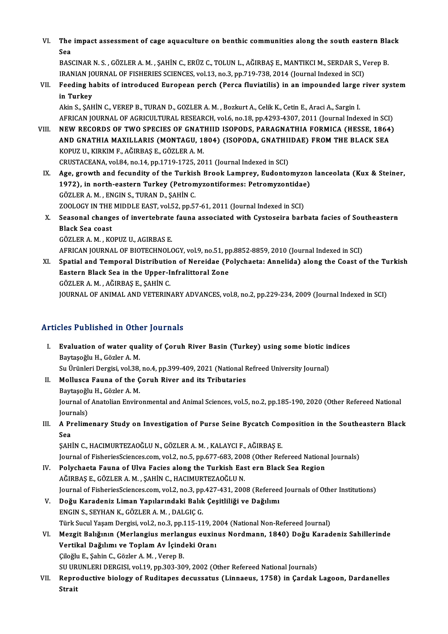VI. The impact assessment of cage aquaculture on benthic communities along the south eastern Black The<br>Sea<br><sub>RAS4</sub> The impact assessment of cage aquaculture on benthic communities along the south eastern Bla<br>Sea<br>BASCINAR N.S., GÖZLER A.M., ŞAHİN C., ERÜZ C., TOLUN L., AĞIRBAŞ E., MANTIKCI M., SERDAR S., Verep B.<br>IRANIAN JOURNAL OF EISH

Sea<br>BASCINAR N. S. , GÖZLER A. M. , ŞAHİN C., ERÜZ C., TOLUN L., AĞIRBAŞ E., MANTIKCI M., SERDAR S., V<br>IRANIAN JOURNAL OF FISHERIES SCIENCES, vol.13, no.3, pp.719-738, 2014 (Journal Indexed in SCI)<br>Feeding habite of introd IRANIAN JOURNAL OF FISHERIES SCIENCES, vol.13, no.3, pp.719-738, 2014 (Journal Indexed in SCI)

## VII. Feeding habits of introduced European perch (Perca fluviatilis) in an impounded large river system<br>in Turkev

Akin S., ŞAHİN C., VEREP B., TURAN D., GOZLER A. M., Bozkurt A., Celik K., Cetin E., Araci A., Sargin I. AFRICAN JOURNAL OF AGRICULTURAL RESEARCH, vol.6, no.18, pp.4293-4307, 2011 (Journal Indexed in SCI)

- VIII. NEW RECORDS OF TWO SPECIES OF GNATHIID ISOPODS, PARAGNATHIA FORMICA (HESSE, 1864) AFRICAN JOURNAL OF AGRICULTURAL RESEARCH, vol.6, no.18, pp.4293-4307, 2011 (Journal Indexed in SCI)<br>NEW RECORDS OF TWO SPECIES OF GNATHIID ISOPODS, PARAGNATHIA FORMICA (HESSE, 1864<br>AND GNATHIA MAXILLARIS (MONTAGU, 1804) (I NEW RECORDS OF TWO SPECIES OF GNAT<br>AND GNATHIA MAXILLARIS (MONTAGU, 18<br>KOPUZ U., KIRKIM F., AĞIRBAŞ E., GÖZLER A. M.<br>CPUSTACEANA. val84. pa 14. pp.1719.1725. 20 AND GNATHIA MAXILLARIS (MONTAGU, 1804) (ISOPODA, GNATHII<br>KOPUZ U., KIRKIM F., AĞIRBAŞ E., GÖZLER A. M.<br>CRUSTACEANA, vol.84, no.14, pp.1719-1725, 2011 (Journal Indexed in SCI)<br>Age\_grouth\_and\_fecundity\_of\_the\_Turkish\_Prook\_L KOPUZ U., KIRKIM F., AĞIRBAŞ E., GÖZLER A. M.<br>CRUSTACEANA, vol.84, no.14, pp.1719-1725, 2011 (Journal Indexed in SCI)<br>IX. Age, growth and fecundity of the Turkish Brook Lamprey, Eudontomyzon lanceolata (Kux & Steiner,
	- CRUSTACEANA, vol.84, no.14, pp.1719-1725, 2011 (Journal Indexed in SCI)<br>Age, growth and fecundity of the Turkish Brook Lamprey, Eudontomyzon<br>1972), in north-eastern Turkey (Petromyzontiformes: Petromyzontidae)<br>CÖZLEP A M. Age, growth and fecundity of the Turkis<br>1972), in north-eastern Turkey (Petron<br>GÖZLER A.M., ENGIN S., TURAN D., ŞAHİN C.<br>7001 OCV IN THE MIDDI E FAST, vol 52 np 52 1972), in north-eastern Turkey (Petromyzontiformes: Petromyzontidae<br>GÖZLER A. M. , ENGIN S., TURAN D., ŞAHİN C.<br>ZOOLOGY IN THE MIDDLE EAST, vol.52, pp.57-61, 2011 (Journal Indexed in SCI)<br>Seesenal shanges of investablests GÖZLER A. M. , ENGIN S., TURAN D., ŞAHİN C.<br>ZOOLOGY IN THE MIDDLE EAST, vol.52, pp.57-61, 2011 (Journal Indexed in SCI)<br>X. Seasonal changes of invertebrate fauna associated with Cystoseira barbata facies of Southeaster
	- ZOOLOGY IN THE MIDDLE EAST, vol.52, pp.57-61, 2011 (Journal Indexed in SCI)<br>Seasonal changes of invertebrate fauna associated with Cystoseira bar<br>Black Sea coast<br>GÖZLER A. M., KOPUZ U., AGIRBAS E. Seasonal changes of invertebrate<br>Black Sea coast<br>GÖZLER A. M. , KOPUZ U., AGIRBAS E.<br>AERICAN IQUENAL OF PIOTECHNOL Black Sea coast<br>GÖZLER A. M. , KOPUZ U., AGIRBAS E.<br>AFRICAN JOURNAL OF BIOTECHNOLOGY, vol.9, no.51, pp.8852-8859, 2010 (Journal Indexed in SCI)<br>Spatial and Temperal Distribution of Neveidae (Relysbasta: Appelida) alang the

GÖZLER A. M. , KOPUZ U., AGIRBAS E.<br>AFRICAN JOURNAL OF BIOTECHNOLOGY, vol.9, no.51, pp.8852-8859, 2010 (Journal Indexed in SCI)<br>XI. Spatial and Temporal Distribution of Nereidae (Polychaeta: Annelida) along the Coast of th AFRICAN JOURNAL OF BIOTECHNOLOGY, vol.9, no.51, pp<br>Spatial and Temporal Distribution of Nereidae (P<br>Eastern Black Sea in the Upper-Infralittoral Zone Spatial and Temporal Distribution<br>Eastern Black Sea in the Upper-I<br>GÖZLER A. M. , AĞIRBAŞ E., ŞAHİN C.<br>JOUPNAL OF ANIMAL AND VETERIN Eastern Black Sea in the Upper-Infralittoral Zone<br>GÖZLER A. M. , AĞIRBAŞ E., ŞAHİN C.<br>JOURNAL OF ANIMAL AND VETERINARY ADVANCES, vol.8, no.2, pp.229-234, 2009 (Journal Indexed in SCI)

## Articles Published in Other Journals

- rticles Published in Other Journals<br>I. Evaluation of water quality of Çoruh River Basin (Turkey) using some biotic indices<br>Raytagoğlu H. Görler A. M BaytaşoğluH.,GözlerA.M. Evaluation of water quality of Çoruh River Basin (Turkey) using some biotic in<br>Baytaşoğlu H., Gözler A. M.<br>Su Ürünleri Dergisi, vol.38, no.4, pp.399-409, 2021 (National Refreed University Journal)<br>Molluses Foune of the Cor II. Mollusca Fauna of the Çoruh River and its Tributaries<br>Baytaşoğlu H., Gözler A. M. Su Ürünleri Dergisi, vol.38, no.4, pp.399-409, 2021 (National Refreed University Journal) Mollusca Fauna of the Çoruh River and its Tributaries<br>Baytaşoğlu H., Gözler A. M.<br>Journal of Anatolian Environmental and Animal Sciences, vol.5, no.2, pp.185-190, 2020 (Other Refereed National<br>Journale) Baytaşoğl<br>Journal of<br>Journals)<br>A Prolim Journal of Anatolian Environmental and Animal Sciences, vol.5, no.2, pp.185-190, 2020 (Other Refereed National<br>Journals)<br>III. A Prelimenary Study on Investigation of Purse Seine Bycatch Composition in the Southeastern Blac
- Jour<br><mark>A Pr</mark><br>Sea<br>s^u A Prelimenary Study on Investigation of Purse Seine Bycatch Con<br>Sea<br>ŞAHİN C., HACIMURTEZAOĞLU N., GÖZLER A. M. , KALAYCI F., AĞIRBAŞ E.<br>Journal of EisberiesSsienses sem val 2 no 5 nn 677,692,2009 (Other Pet

Sea<br>ŞAHİN C., HACIMURTEZAOĞLU N., GÖZLER A. M. , KALAYCI F., AĞIRBAŞ E.<br>Journal of FisheriesSciences.com, vol.2, no.5, pp.677-683, 2008 (Other Refereed National Journals)<br>Polyshaeta Fauna of Illya Fasias alang the Turkish SAHIN C., HACIMURTEZAOĞLU N., GÖZLER A. M. , KALAYCI F., AĞIRBAŞ E.<br>Journal of FisheriesSciences.com, vol.2, no.5, pp.677-683, 2008 (Other Refereed Nationa<br>IV. Polychaeta Fauna of Ulva Facies along the Turkish East ern Bla

- IV. Polychaeta Fauna of Ulva Facies along the Turkish East ern Black Sea Region<br>AĞIRBAŞ E., GÖZLER A. M., ŞAHİN C., HACIMURTEZAOĞLU N. Polychaeta Fauna of Ulva Facies along the Turkish East ern Black Sea Region<br>AĞIRBAŞ E., GÖZLER A. M. , ŞAHİN C., HACIMURTEZAOĞLU N.<br>Journal of FisheriesSciences.com, vol.2, no.3, pp.427-431, 2008 (Refereed Journals of Othe
- V. Doğu Karadeniz Liman Yapılarındaki Balık Çeşitliliği ve Dağılımı Journal of FisheriesSciences.com, vol.2, no.3, pp<br>Doğu Karadeniz Liman Yapılarındaki Balık<br>ENGIN S., SEYHAN K., GÖZLER A. M. , DALGIÇ G.<br>Türk Sugul Yasam Dargisi vol.2, no.2, nn.115, 11 Doğu Karadeniz Liman Yapılarındaki Balık Çeşitliliği ve Dağılımı<br>ENGIN S., SEYHAN K., GÖZLER A. M. , DALGIÇ G.<br>Türk Sucul Yaşam Dergisi, vol.2, no.3, pp.115-119, 2004 (National Non-Refereed Journal)<br>Mergit Balığının (Merla
- VI. Mezgit Balığının (Merlangius merlangus euxinus Nordmann, 1840) Doğu Karadeniz Sahillerinde Türk Sucul Yaşam Dergisi, vol.2, no.3, pp.115-119, 20<br>Mezgit Balığının (Merlangius merlangus euxin<br>Vertikal Dağılımı ve Toplam Av İçindeki Oranı<br>Gileğlu E. Sabin G. Gözlen A.M., Veren B Vertikal Dağılımı ve Toplam Av İçindeki Oranı<br>Çiloğlu E., Şahin C., Gözler A.M. , Verep B. Vertikal Dağılımı ve Toplam Av İçindeki Oranı<br>Çiloğlu E., Şahin C., Gözler A. M. , Verep B.<br>SU URUNLERI DERGISI, vol.19, pp.303-309, 2002 (Other Refereed National Journals)<br>Pennadustive biology of Buditanes desussatus (Lin
- VII. Reproductive biology of Ruditapes decussatus (Linnaeus, 1758) in Çardak Lagoon, Dardanelles<br>Strait SU UR<br><mark>Repr</mark><br>Strait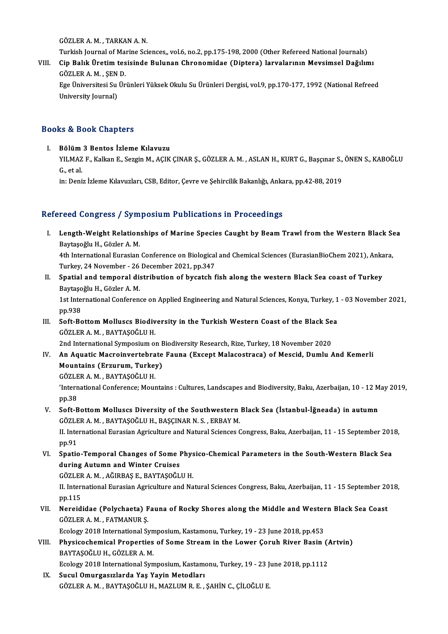GÖZLERA.M. ,TARKANA.N.

Turkish Journal of Marine Sciences,, vol.6, no.2, pp.175-198, 2000 (Other Refereed National Journals)

GÖZLER A. M. , TARKAN A. N.<br>Turkish Journal of Marine Sciences,, vol.6, no.2, pp.175-198, 2000 (Other Refereed National Journals)<br>VIII. Cip Balık Üretim tesisinde Bulunan Chronomidae (Diptera) larvalarının Mevsimsel Da Turkish Journal of Mai<br>Cip Balık Üretim tes<br>GÖZLER A. M. , ŞEN D.<br>Ege Üniversitesi Su Ür GÖZLER A.M., SEN D.

Ege Üniversitesi Su Ürünleri Yüksek Okulu Su Ürünleri Dergisi, vol.9, pp.170-177, 1992 (National Refreed<br>University Journal)

## Books&Book Chapters

I. Bölüm3 Bentos İzleme Kılavuzu

IS & BSSR SHapters<br>Bölüm 3 Bentos İzleme Kılavuzu<br>YILMAZ F., Kalkan E., Sezgin M., AÇIK ÇINAR Ş., GÖZLER A. M. , ASLAN H., KURT G., Başçınar S., ÖNEN S., KABOĞLU **Bölüm**<br>YILMAZ<br>G., et al.<br>in: Doni YILMAZ F., Kalkan E., Sezgin M., AÇIK ÇINAR Ş., GÖZLER A. M. , ASLAN H., KURT G., Başçınar S.,<br>G., et al.<br>in: Deniz İzleme Kılavuzları, CSB, Editor, Çevre ve Şehircilik Bakanlığı, Ankara, pp.42-88, 2019

in: Deniz İzleme Kılavuzları, CSB, Editor, Çevre ve Şehircilik Bakanlığı, Ankara, pp.42-88, 2019<br>Refereed Congress / Symposium Publications in Proceedings

- efereed Congress / Symposium Publications in Proceedings<br>I. Length-Weight Relationships of Marine Species Caught by Beam Trawl from the Western Black Sea 1994 Göngross 7 byn.<br>Length-Weight Relation<br>Baytaşoğlu H., Gözler A. M.<br>4th International Eurosian Length-Weight Relationships of Marine Species Caught by Beam Trawl from the Western Black Se<br>Baytaşoğlu H., Gözler A. M.<br>4th International Eurasian Conference on Biological and Chemical Sciences (EurasianBioChem 2021), Ank Baytaşoğlu H., Gözler A. M.<br>4th International Eurasian Conference on Biological and Chemical Sciences (EurasianBioChem 2021), Ankara,<br>Turkey, 24 November - 26 December 2021, pp.347 4th International Eurasian Conference on Biological and Chemical Sciences (EurasianBioChem 2021), Anka<br>Turkey, 24 November - 26 December 2021, pp.347<br>II. Spatial and temporal distribution of bycatch fish along the western
- Turkey, 24 November 26<br>Spatial and temporal di:<br>Baytaşoğlu H., Gözler A. M.<br>1st International Conferen Spatial and temporal distribution of bycatch fish along the western Black Sea coast of Turkey<br>Baytaşoğlu H., Gözler A. M.<br>1st International Conference on Applied Engineering and Natural Sciences, Konya, Turkey, 1 - 03 Nove Baytaşoğlu H., Gözler A. M.<br>1st International Conference on Applied Engineering and Natural Sciences, Konya, Turkey, 1 - 03 November 2021,<br>pp.938 1st International Conference on Applied Engineering and Natural Sciences, Konya, Turkey, 1<br>pp.938<br>III. Soft-Bottom Molluscs Biodiversity in the Turkish Western Coast of the Black Sea
- pp.938<br><mark>Soft-Bottom Molluscs Biodiv</mark><br>GÖZLER A. M. , BAYTAŞOĞLU H.<br><sup>2nd International Sumposium Q</sup> Soft-Bottom Molluscs Biodiversity in the Turkish Western Coast of the Black Se<br>GÖZLER A. M. , BAYTAŞOĞLU H.<br>2nd International Symposium on Biodiversity Research, Rize, Turkey, 18 November 2020<br>An Aguatis Magneinyartehnete GÖZLER A. M. , BAYTAŞOĞLU H.<br>2nd International Symposium on Biodiversity Research, Rize, Turkey, 18 November 2020<br>IV. An Aquatic Macroinvertebrate Fauna (Except Malacostraca) of Mescid, Dumlu And Kemerli

2nd International Symposium on E<br>An Aquatic Macroinvertebrate<br>Mountains (Erzurum, Turkey)<br>CÖZLER A.M., BAYTASOČLU H An Aquatic Macroinvertebra<br>Mountains (Erzurum, Turkey<br>GÖZLER A.M., BAYTAŞOĞLU H.<br>'International Conference Mour Mountains (Erzurum, Turkey)<br>GÖZLER A. M. , BAYTAŞOĞLU H.<br>'International Conference; Mountains : Cultures, Landscapes and Biodiversity, Baku, Azerbaijan, 10 - 12 May 2019, GÖZLE<br>'Intern<br>pp.38<br>Soft P

- V. Thernational Conference; Mountains : Cultures, Landscapes and Biodiversity, Baku, Azerbaijan, 10 12 M<br>pp.38<br>V. Soft-Bottom Molluscs Diversity of the Southwestern Black Sea (İstanbul-İğneada) in autumn<br>CÖZLER A.M. RAYT pp.38<br>V. Soft-Bottom Molluscs Diversity of the Southwestern Black Sea (İstanbul-İğneada) in autumn<br>GÖZLER A. M. , BAYTAŞOĞLU H., BAŞÇINAR N. S. , ERBAY M. Soft-Bottom Molluscs Diversity of the Southwestern Black Sea (İstanbul-İğneada) in autumn<br>GÖZLER A. M. , BAYTAŞOĞLU H., BAŞÇINAR N. S. , ERBAY M.<br>II. International Eurasian Agriculture and Natural Sciences Congress, Baku, GÖZLE<br>II. Inte<br>pp.91<br>Spatis II. International Eurasian Agriculture and Natural Sciences Congress, Baku, Azerbaijan, 11 - 15 September 201<br>pp.91<br>VI. Spatio-Temporal Changes of Some Physico-Chemical Parameters in the South-Western Black Sea
- pp.91<br>Spatio-Temporal Changes of Some I<br>during Autumn and Winter Cruises<br>CÖZLEP A.M. AČIPRAS E. RAVTASOČI Spatio-Temporal Changes of Some Phys<br>during Autumn and Winter Cruises<br>GÖZLER A. M. , AĞIRBAŞ E., BAYTAŞOĞLU H.<br>H. International Eurosian Asrigulture and Na

during Autumn and Winter Cruises<br>GÖZLER A. M. , AĞIRBAŞ E., BAYTAŞOĞLU H.<br>II. International Eurasian Agriculture and Natural Sciences Congress, Baku, Azerbaijan, 11 - 15 September 2018, GÖZLER A. M. , AĞIRBAŞ E., BAYTAŞOĞLU H.<br>11. International Eurasian Agriculture and Natural Sciences Congress, Baku, Azerbaijan, 11 - 15 September 20<br>115. VII. Nereididae (Polychaeta) Fauna of Rocky Shores along the Mi II. International Eurasian Agriculture and Natural Sciences Congress, Baku, Azerbaijan, 11 - 15 September 20<br>pp.115<br>VII. Nereididae (Polychaeta) Fauna of Rocky Shores along the Middle and Western Black Sea Coast<br>CÖZLER A.M

GÖZLERA.M. ,FATMANURŞ. Nereididae (Polychaeta) Fauna of Rocky Shores along the Middle and Wester<br>GÖZLER A. M. , FATMANUR Ş.<br>Ecology 2018 International Symposium, Kastamonu, Turkey, 19 - 23 June 2018, pp.453<br>Physiseebomisal Properties of Some Str

VIII. Physicochemical Properties of Some Stream in the Lower Çoruh River Basin (Artvin)<br>BAYTASOĞLU H., GÖZLER A. M. Ecology 2018 International Syn<br>Physicochemical Properties<br>BAYTAŞOĞLU H., GÖZLER A. M.<br>Feology 2018 International Syn Physicochemical Properties of Some Stream in the Lower Çoruh River Basin (*A*<br>BAYTAŞOĞLU H., GÖZLER A. M.<br>Ecology 2018 International Symposium, Kastamonu, Turkey, 19 - 23 June 2018, pp.1112<br>Syayl Omungeaularda Vas Vayin Me

IX. Sucul Omurgasızlarda Yaş Yayin Metodları<br>GÖZLER A. M., BAYTAŞOĞLU H., MAZLUM R. E., ŞAHİN C., ÇİLOĞLU E. Ecology 2018 International Symposium, Kastamonu, Turkey, 19 - 23 J<br><mark>Sucul Omurgasızlarda Yaş Yayin Metodları</mark><br>GÖZLER A. M. , BAYTAŞOĞLU H., MAZLUM R. E. , ŞAHİN C., ÇİLOĞLU E.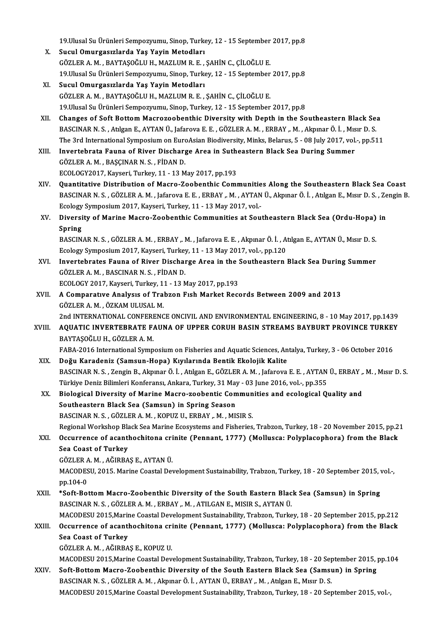19.Ulusal Su Ürünleri Sempozyumu, Sinop, Turkey, 12 - 15 September 2017, pp.8<br>Sugul Omungasurlanda Vas Vaujn Matadlanı

- X. Sucul Omurgasızlarda Yaş Yayin Metodları<br>GÖZLER A. M. , BAYTASOĞLU H., MAZLUM R. E. , SAHİN C., CİLOĞLU E. 19.Ulusal Su Ürünleri Sempozyumu, Sinop, Turkey, 12 - 15 September<br>Sucul Omurgasızlarda Yaş Yayin Metodları<br>GÖZLER A. M. , BAYTAŞOĞLU H., MAZLUM R. E. , ŞAHİN C., ÇİLOĞLU E.<br>19 Ulusal Su Ürünleri Semperuymu, Sinop Turkey, 19. Ulusal Su Ürünleri Sempozyumu, Sinop, Turkey, 12 - 15 September 2017, pp.8
- XI. Sucul Omurgasızlarda Yaş Yayin Metodları GÖZLERA.M. ,BAYTAŞOĞLUH.,MAZLUMR.E. ,ŞAHİNC.,ÇİLOĞLUE. 19. Ulusal Su Ürünleri Sempozyumu, Sinop, Turkey, 12 - 15 September 2017, pp.8
- XII. Changes of Soft Bottom Macrozoobenthic Diversity with Depth in the Southeastern Black Sea BASCINAR N.S., Atılgan E., AYTAN Ü., Jafarova E. E., GÖZLER A.M., ERBAY,. M., Akpınar Ö. İ., Mısır D. S. The 3rd International Symposium on EuroAsian Biodiversity, Minks, Belarus, 5 - 08 July 2017, vol.-, pp.511 BASCINAR N. S., Atılgan E., AYTAN Ü., Jafarova E. E., GÖZLER A. M., ERBAY "M., Akpınar Ö. İ., Mıs<br>The 3rd International Symposium on EuroAsian Biodiversity, Minks, Belarus, 5 - 08 July 2017, vol.<br>XIII. Invertebrata Fauna o
- The 3rd International Symposium on Euro<br>Invertebrata Fauna of River Discharg<br>GÖZLER A. M. , BAŞÇINAR N. S. , FİDAN D.<br>ECOLOCY2017 *Vausari Turkay* 11, 13 M Invertebrata Fauna of River Discharge Area in Suthe<br>GÖZLER A. M. , BAŞÇINAR N. S. , FİDAN D.<br>ECOLOGY2017, Kayseri, Turkey, 11 - 13 May 2017, pp.193<br>Quantitative Distribution of Masre Zoobenthis Comp GÖZLER A. M. , BAŞÇINAR N. S. , FİDAN D.<br>ECOLOGY2017, Kayseri, Turkey, 11 - 13 May 2017, pp.193<br>XIV. Quantitative Distribution of Macro-Zoobenthic Communities Along the Southeastern Black Sea Coast
- ECOLOGY2017, Kayseri, Turkey, 11 13 May 2017, pp.193<br>Quantitative Distribution of Macro-Zoobenthic Communities Along the Southeastern Black Sea Coast<br>BASCINAR N. S. , GÖZLER A. M. , Jafarova E. E. , ERBAY ,. M. , AYTAN Ü Quantitative Distribution of Macro-Zoobenthic Communitie<br>BASCINAR N.S., GÖZLER A.M., Jafarova E.E., ERBAY ,. M., AYTAN<br>Ecology Symposium 2017, Kayseri, Turkey, 11 - 13 May 2017, vol.-<br>Divensity of Marine Mesre, Zoobenthie BASCINAR N. S. , GÖZLER A. M. , Jafarova E. E. , ERBAY ,. M. , AYTAN Ü., Akpınar Ö. İ. , Atılgan E., Mısır D. S. , Zengin B.<br>Ecology Symposium 2017, Kayseri, Turkey, 11 - 13 May 2017, vol.-<br>XV. Diversity of Marine Macr Ecology Symposium 2017, Kayseri, Turkey, 11 - 13 May 2017, vol-
- Diversity of Marine Macro-Zoobenthic Communities at Southeastern Black Sea (Ordu-Hopa)<br>Spring<br>BASCINAR N. S. , GÖZLER A. M. , ERBAY ,. M. , Jafarova E. E. , Akpınar Ö. İ. , Atılgan E., AYTAN Ü., Mısır D. S<br>Feelegy Symnesiu Spring<br>BASCINAR N. S. , GÖZLER A. M. , ERBAY ,. M. , Jafarova E. E. , Akpınar Ö. İ. , A<br>Ecology Symposium 2017, Kayseri, Turkey, 11 - 13 May 2017, vol.-, pp.120<br>Inventehnates Foune of Biver Dissbarge Area in the Southeaste

- BASCINAR N. S. , GÖZLER A. M. , ERBAY ,. M. , Jafarova E. E. , Akpınar Ö. İ. , Atılgan E., AYTAN Ü., Mısır D. S.<br>Ecology Symposium 2017, Kayseri, Turkey, 11 13 May 2017, vol.-, pp.120<br>XVI. Invertebrates Fauna of River Di Ecology Symposium 2017, Kayseri, Turkey, 11 - 13 May 2017, vol.-, pp.120<br>Invertebrates Fauna of River Discharge Area in the Southeastern Black Sea During Summer<br>GÖZLER A. M. , BASCINAR N. S. , FİDAN D. Invertebrates Fauna of River Discharge Area in the :<br>GÖZLER A. M. , BASCINAR N. S. , FİDAN D.<br>ECOLOGY 2017, Kayseri, Turkey, 11 - 13 May 2017, pp.193<br>A Comparative Analysis of Trabron Eish Market Boss
- XVII. A Comparative Analysis of Trabzon Fish Market Records Between 2009 and 2013<br>GÖZLER A. M., ÖZKAM ULUSAL M. ECOLOGY 2017, Kayseri, Turkey, 1:<br>A Comparative Analysis of Tral<br>GÖZLER A. M. , ÖZKAM ULUSAL M.<br>2nd INTERNATIONAL CONEERENC A Comparative Analysis of Trabzon Fish Market Records Between 2009 and 2013<br>GÖZLER A. M. , ÖZKAM ULUSAL M.<br>2nd INTERNATIONAL CONFERENCE ONCIVIL AND ENVIRONMENTAL ENGINEERING, 8 - 10 May 2017, pp.1439<br>AQUATIC INVERTERRATE F
- GÖZLER A. M., ÖZKAM ULUSAL M.<br>2nd INTERNATIONAL CONFERENCE ONCIVIL AND ENVIRONMENTAL ENGINEERING, 8 10 May 2017, pp.1439<br>20 NOVEMBER BANGER BANG OF UPPER CORUH BASIN STREAMS BAYBURT PROVINCE TURKEY 2nd INTERNATIONAL CONFERE<br>**AQUATIC INVERTEBRATE F**<br>BAYTAŞOĞLU H., GÖZLER A. M.<br>EARA 2016 International Sump AQUATIC INVERTEBRATE FAUNA OF UPPER CORUH BASIN STREAMS BAYBURT PROVINCE TURKEY<br>BAYTAŞOĞLU H., GÖZLER A. M.<br>FABA-2016 International Symposium on Fisheries and Aquatic Sciences, Antalya, Turkey, 3 - 06 October 2016<br>Doğu Kar
- BAYTAŞOĞLU H., GÖZLER A. M.<br>FABA-2016 International Symposium on Fisheries and Aquatic Sciences, Antalya, Turkey, 3 06 October 2016<br>XIX. Doğu Karadeniz (Samsun-Hopa) Kıyılarında Bentik Ekolojik Kalite<br>BASCINAR N. S. FABA-2016 International Symposium on Fisheries and Aquatic Sciences, Antalya, Turkey, 3 - 06 October 2016<br>Doğu Karadeniz (Samsun-Hopa) Kıyılarında Bentik Ekolojik Kalite<br>BASCINAR N. S. , Zengin B., Akpınar Ö. İ. , Atılgan Doğu Karadeniz (Samsun-Hopa) Kıyılarında Bentik Ekolojik Kalite<br>BASCINAR N.S., Zengin B., Akpınar Ö. İ. , Atılgan E., GÖZLER A. M. , Jafarova E. E. , AYTAN<br>Türkiye Deniz Bilimleri Konferansı, Ankara, Turkey, 31 May - 03 Ju BASCINAR N. S. , Zengin B., Akpınar Ö. İ. , Atılgan E., GÖZLER A. M. , Jafarova E. E. , AYTAN Ü., ERBAY ,.<br>Türkiye Deniz Bilimleri Konferansı, Ankara, Turkey, 31 May - 03 June 2016, vol.-, pp.355<br>XX. Biological Diversity o
- Türkiye Deniz Bilimleri Konferansı, Ankara, Turkey, 31 May<br>Biological Diversity of Marine Macro-zoobentic Con<br>Southeastern Black Sea (Samsun) in Spring Season<br>BASCINAR N.S. CÖZLER A.M., KOPUZ U. ERRAY, M., MI Biological Diversity of Marine Macro-zoobentic Commun<br>Southeastern Black Sea (Samsun) in Spring Season<br>BASCINAR N.S., GÖZLER A.M., KOPUZ U., ERBAY,. M., MISIR S.<br>Begianal Werksbon Black Sea Marine Feasystems and Fisheries Southeastern Black Sea (Samsun) in Spring Season<br>BASCINAR N. S. , GÖZLER A. M. , KOPUZ U., ERBAY ,. M. , MISIR S.<br>Regional Workshop Black Sea Marine Ecosystems and Fisheries, Trabzon, Turkey, 18 - 20 November 2015, pp.21 BASCINAR N. S. , GÖZLER A. M. , KOPUZ U., ERBAY ,. M. , MISIR S.<br>Regional Workshop Black Sea Marine Ecosystems and Fisheries, Trabzon, Turkey, 18 - 20 November 2015, pp.2<br>XXI. Occurrence of acanthochitona crinite (Penn
- Sea Coast of Turkey<br>GÖZLER A. M. , AĞIRBAS E., AYTAN Ü. Occurrence of acanthochitona cri<br>Sea Coast of Turkey<br>GÖZLER A.M. , AĞIRBAŞ E., AYTAN Ü.<br>MACODESU. 2015. Marina Coastal Der

MACODESU, 2015. Marine Coastal Development Sustainability, Trabzon, Turkey, 18 - 20 September 2015, vol.-, pp.104-0 MACODESU, 2015. Marine Coastal Development Sustainability, Trabzon, Turkey, 18 - 20 September 2015, v<br>pp.104-0<br>XXII. \*Soft-Bottom Macro-Zoobenthic Diversity of the South Eastern Black Sea (Samsun) in Spring<br>PASCINAR N.S. C

pp.104-0<br>\*Soft-Bottom Macro-Zoobenthic Diversity of the South Eastern Blac<br>BASCINAR N.S., GÖZLER A.M., ERBAY " M., ATILGAN E., MISIR S., AYTAN Ü.<br>MACODESU 2015 Marine Coastal Development Sustainebility, Trabzen, Turke \*Soft-Bottom Macro-Zoobenthic Diversity of the South Eastern Black Sea (Samsun) in Spring<br>BASCINAR N.S., GÖZLER A.M., ERBAY "M., ATILGAN E., MISIR S., AYTAN Ü.<br>MACODESU 2015,Marine Coastal Development Sustainability, Trabz MACODESU 2015, Marine Coastal Development Sustainability, Trabzon, Turkey, 18 - 20 September 2015, pp.212

BASCINAR N. S. , GÖZLER A. M. , ERBAY ,. M. , ATILGAN E., MISIR S., AYTAN Ü.<br>MACODESU 2015, Marine Coastal Development Sustainability, Trabzon, Turkey, 18 - 20 September 2015, pp.212<br>XXIII. Occurrence of acanthochitona cri Sea Coast of Turkey<br>GÖZLER A. M. , AĞIRBAŞ E., KOPUZ U.<br>MACODESU 2015,Marine Coastal Development Sustainability, Trabzon, Turkey, 18 - 20 September 2015, pp.104<br>Seft Bettern Magre Zeebenthic Diversity of the South Eastern

GÖZLERA.M. ,AĞIRBAŞE.,KOPUZU.

GÖZLER A. M. , AĞIRBAŞ E., KOPUZ U.<br>MACODESU 2015,Marine Coastal Development Sustainability, Trabzon, Turkey, 18 - 20 September 2015, <sub>1</sub><br>XXIV. Soft-Bottom Macro-Zoobenthic Diversity of the South Eastern Black Sea (Samsun) MACODESU 2015,Marine Coastal Development Sustainability, Trabzon, Turkey, 18 - 20 Sep<br>Soft-Bottom Macro-Zoobenthic Diversity of the South Eastern Black Sea (Samsu<br>BASCINAR N. S. , GÖZLER A. M. , Akpınar Ö. İ. , AYTAN Ü., E Soft-Bottom Macro-Zoobenthic Diversity of the South Eastern Black Sea (Samsun) in Spring<br>BASCINAR N. S. , GÖZLER A. M. , Akpınar Ö. İ. , AYTAN Ü., ERBAY ,. M. , Atılgan E., Mısır D. S.<br>MACODESU 2015,Marine Coastal Developm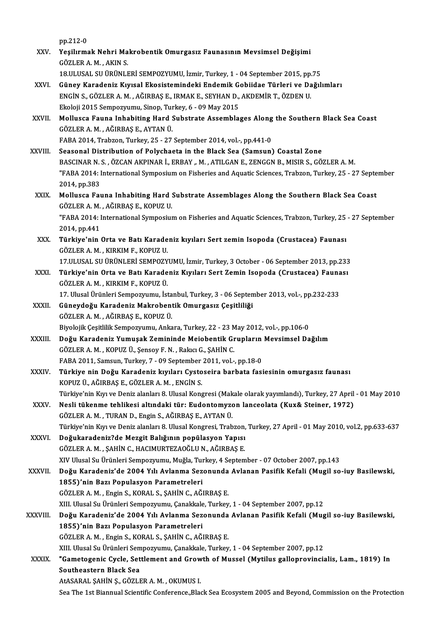pp.212-0

pp.212-0<br>XXV. Yeşilırmak Nehri Makrobentik Omurgasız Faunasının Mevsimsel Değişimi<br>CÖZLER A MAAKIN S pp.212-0<br>Yeşilırmak Nehri Ma<br>GÖZLER A. M. , AKIN S.<br>19 ULUSAL SU ÜPÜNLE GÖZLER A. M. , AKIN S.<br>18.ULUSAL SU ÜRÜNLERİ SEMPOZYUMU, İzmir, Turkey, 1 - 04 September 2015, pp.75 XXVI. Güney Karadeniz Kıyısal Ekosistemindeki Endemik Gobiidae Türleri ve Dağılımları 18.ULUSAL SU ÜRÜNLERİ SEMPOZYUMU, İzmir, Turkey, 1 - 04 September 2015, pp.<br>Güney Karadeniz Kıyısal Ekosistemindeki Endemik Gobiidae Türleri ve Da<br>ENGİN S., GÖZLER A. M. , AĞIRBAŞ E., IRMAK E., SEYHAN D., AKDEMİR T., ÖZDEN Güney Karadeniz Kıyısal Ekosistemindeki Endemik G<br>ENGİN S., GÖZLER A. M. , AĞIRBAŞ E., IRMAK E., SEYHAN D.,<br>Ekoloji 2015 Sempozyumu, Sinop, Turkey, 6 - 09 May 2015<br>Mallussa Fauna Inhabiting Hard Substrate Assembla XXVII. Mollusca Fauna Inhabiting Hard Substrate Assemblages Along the Southern Black Sea Coast<br>GÖZLER A. M., AĞIRBAS E. AYTAN Ü. Ekoloji 2015 Sempozyumu, Sinop, Turkey, 6 - 09 May 2015 FABA 2014, Trabzon, Turkey, 25 - 27 September 2014, vol. , pp.441-0 XXVIII. Seasonal Distribution of Polychaeta in the Black Sea (Samsun) Coastal Zone BASCINAR N.S., ÖZCAN AKPINAR İ., ERBAY,. M., ATILGAN E., ZENGGN B., MISIR S., GÖZLER A.M. "FABA 2014: International Symposium on Fisheries and Aquatic Sciences, Trabzon, Turkey, 25 - 27 September 2014,pp.383 XXIX. Mollusca Fauna Inhabiting Hard Substrate Assemblages Along the Southern Black Sea Coast 2014, pp.383<br>Mollusca Fauna Inhabiting Hard :<br>GÖZLER A. M. , AĞIRBAŞ E., KOPUZ U.<br>"FARA 2014: International Sumpesiu. "FABA 2014: International Symposium on Fisheries and Aquatic Sciences, Trabzon, Turkey, 25 - 27 September<br>2014, pp.441 GÖZLER A. M.<br>"FABA 2014: 1<br>2014, pp.441<br>Türkiye'nin "FABA 2014: International Symposium on Fisheries and Aquatic Sciences, Trabzon, Turkey, 25<br>2014, pp.441<br>XXX. Türkiye'nin Orta ve Batı Karadeniz kıyıları Sert zemin Isopoda (Crustacea) Faunası 2014, pp.441<br>Türkiye'nin Orta ve Batı Karade<br>GÖZLER A. M. , KIRKIM F., KOPUZ U.<br>17 ULUSAL SU ÜPÜNU ERİ SEMPOZV Türkiye'nin Orta ve Batı Karadeniz kıyıları Sert zemin Isopoda (Crustacea) Faunası<br>GÖZLER A. M. , KIRKIM F., KOPUZ U.<br>17.ULUSAL SU ÜRÜNLERİ SEMPOZYUMU, İzmir, Turkey, 3 October - 06 September 2013, pp.233<br>Türkiye'nin Orta GÖZLER A. M. , KIRKIM F., KOPUZ U.<br>17.ULUSAL SU ÜRÜNLERİ SEMPOZYUMU, İzmir, Turkey, 3 October - 06 September 2013, pp.233<br>XXXI. Türkiye'nin Orta ve Batı Karadeniz Kıyıları Sert Zemin Isopoda (Crustacea) Faunası<br>CÖZLEP 17.ULUSAL SU ÜRÜNLERİ SEMPOZY<br>**Türkiye'nin Orta ve Batı Karade**<br>GÖZLER A. M. , KIRKIM F., KOPUZ Ü.<br>17. Ulusal Ürünleri Semperrumu, İst Türkiye'nin Orta ve Batı Karadeniz Kıyıları Sert Zemin Isopoda (Crustacea) Fauna<br>GÖZLER A. M. , KIRKIM F., KOPUZ Ü.<br>17. Ulusal Ürünleri Sempozyumu, İstanbul, Turkey, 3 - 06 September 2013, vol.-, pp.232-233<br>Günevdeğu Karad GÖZLER A. M. , KIRKIM F., KOPUZ Ü.<br>17. Ulusal Ürünleri Sempozyumu, İstanbul, Turkey, 3 - 06 Septen<br>XXXII. 6üneydoğu Karadeniz Makrobentik Omurgasız Çeşitliliği<br>GÖZLER A. M. , AĞIRBAŞ E., KOPUZ Ü. 17. Ulusal Ürünleri Sempozyumu, İsta<br>Güneydoğu Karadeniz Makrobent<br>GÖZLER A.M. , AĞIRBAŞ E., KOPUZ Ü.<br>Biyolojik Cesitlilik Sempozyumu, Anka Biyolojik Çeşitlilik Sempozyumu, Ankara, Turkey, 22 - 23 May 2012, vol.-, pp.106-0 GÖZLER A. M. , AĞIRBAŞ E., KOPUZ Ü.<br>Biyolojik Çeşitlilik Sempozyumu, Ankara, Turkey, 22 - 23 May 2012, vol.-, pp.106-0<br>XXXIII. Doğu Karadeniz Yumuşak Zemininde Meiobentik Grupların Mevsimsel Dağılım GÖZLER A. M. , KOPUZ Ü., Şensoy F. N. , Rakıcı G., ŞAHİN C.<br>FABA 2011, Samsun, Turkey, 7 - 09 September 2011, vol.-, pp.18-0 Doğu Karadeniz Yumuşak Zemininde Meiobentik Grupların<br>GÖZLER A. M. , KOPUZ Ü., Şensoy F. N. , Rakıcı G., ŞAHİN C.<br>FABA 2011, Samsun, Turkey, 7 - 09 September 2011, vol.-, pp.18-0<br>Türkiye nin Değu Karadeniz kuyları Gyatosai XXXIV. Türkiye nin Doğu Karadeniz kıyıları Cystoseira barbata fasiesinin omurgasız faunası KOPUZÜ.,AĞIRBAŞE.,GÖZLERA.M. ,ENGİNS. Türkiye'nin Kıyı ve Deniz alanları 8. Ulusal Kongresi (Makale olarak yayımlandı), Turkey, 27 April - 01 May 2010 KOPUZ Ü., AĞIRBAŞ E., GÖZLER A. M. , ENGİN S.<br>Türkiye'nin Kıyı ve Deniz alanları 8. Ulusal Kongresi (Makale olarak yayımlandı), Turkey, 27 April<br>XXXV. Nesli tükenme tehlikesi altındaki tür: Eudontomyzon lanceolata (Kux Türkiye'nin Kıyı ve Deniz alanları 8. Ulusal Kongresi (Mak<br>Nesli tükenme tehlikesi altındaki tür: Eudontomyzo<br>GÖZLER A. M. , TURAN D., Engin S., AĞIRBAŞ E., AYTAN Ü.<br>Türkiye'nin Kun ve Deniz alanları 8. Ulusal Kongresi Tra GÖZLER A. M. , TURAN D., Engin S., AĞIRBAŞ E., AYTAN Ü.<br>Türkiye'nin Kıyı ve Deniz alanları 8. Ulusal Kongresi, Trabzon, Turkey, 27 April - 01 May 2010, vol.2, pp.633-637 XXXVI. Doğukaradeniz?deMezgit Balığının popülasyon Yapısı GÖZLERA.M. ,ŞAHİNC.,HACIMURTEZAOĞLUN.,AĞIRBAŞE. XIVUlusalSuÜrünleriSempozyumu,Muğla,Turkey,4 September -07October 2007,pp.143 XXXVI . Doğu Karadeniz'de 2004 Yılı Avlanma Sezonunda Avlanan Pasifik Kefali (Mugil so-iuy Basilewski, 1855)'nin Bazı Populasyon Parametreleri GÖZLERA.M. ,EnginS.,KORAL S.,ŞAHİNC.,AĞIRBAŞE. 1855)'nin Bazı Populasyon Parametreleri<br>GÖZLER A. M. , Engin S., KORAL S., ŞAHİN C., AĞIRBAŞ E.<br>XIII. Ulusal Su Ürünleri Sempozyumu, Çanakkale, Turkey, 1 - 04 September 2007, pp.12<br>Doğu Karadaniz'de 2004 Yılı Aylanma Sazan GÖZLER A. M. , Engin S., KORAL S., ŞAHİN C., AĞIRBAŞ E.<br>XIII. Ulusal Su Ürünleri Sempozyumu, Çanakkale, Turkey, 1 - 04 September 2007, pp.12<br>XXXVIII. Doğu Karadeniz'de 2004 Yılı Avlanma Sezonunda Avlanan Pasifik Kefali XIII. Ulusal Su Ürünleri Sempozyumu, Çanakkale<br>Doğu Karadeniz'de 2004 Yılı Avlanma Sez<br>1855)'nin Bazı Populasyon Parametreleri<br>CÖZLEP A.M., Engin S. KOPAL S. SAHİN C. AČl Doğu Karadeniz'de 2004 Yılı Avlanma Sezonunda<br>1855)'nin Bazı Populasyon Parametreleri<br>GÖZLER A.M., Engin S., KORAL S., ŞAHİN C., AĞIRBAŞ E.<br>YII, Ulusal S., Ürünleri Sermestrumu, Genekkele Turkey 1855)'nin Bazı Populasyon Parametreleri<br>GÖZLER A. M. , Engin S., KORAL S., ŞAHİN C., AĞIRBAŞ E.<br>XIII. Ulusal Su Ürünleri Sempozyumu, Çanakkale, Turkey, 1 - 04 September 2007, pp.12 GÖZLER A. M. , Engin S., KORAL S., ŞAHİN C., AĞIRBAŞ E.<br>XIII. Ulusal Su Ürünleri Sempozyumu, Çanakkale, Turkey, 1 - 04 September 2007, pp.12<br>XXXIX. "Gametogenic Cycle, Settlement and Growth of Mussel (Mytilus galloprov XIII. Ulusal Su Ürünleri Sem<br>"Gametogenic Cycle, Set<br>Southeastern Black Sea<br>AtASARAL SAHIN S. CÖZLE "Gametogenic Cycle, Settlement and Grow<br>Southeastern Black Sea<br>AtASARAL ŞAHİN Ş., GÖZLER A.M. , OKUMUS I.<br>Sea The 1st Biannual Scientific Conference Bla Southeastern Black Sea<br>AtASARAL ŞAHİN Ş., GÖZLER A. M. , OKUMUS I.<br>Sea The 1st Biannual Scientific Conference.,Black Sea Ecosystem 2005 and Beyond, Commission on the Protection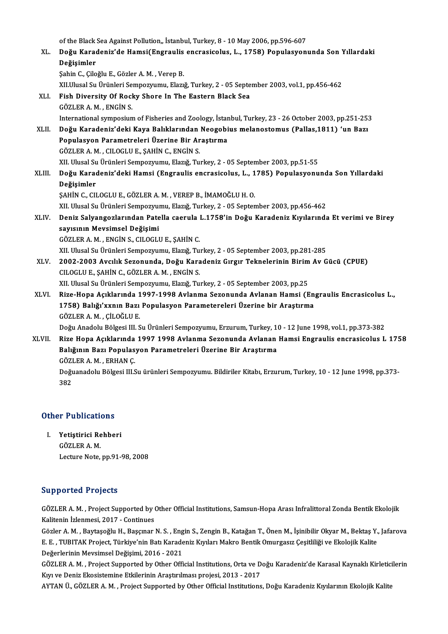of the Black Sea Against Pollution,, İstanbul, Turkey, 8 - 10 May 2006, pp.596-607<br>Doğu Karadanir'de Hamai (Engraulia engrasisalus 1 - 1758), Penulasyanı of the Black Sea Against Pollution" İstanbul, Turkey, 8 - 10 May 2006, pp.596-607<br>XL. Doğu Karadeniz'de Hamsi(Engraulis encrasicolus, L., 1758) Populasyonunda Son Yıllardaki of the Black<br>Do<mark>ğu Kara</mark><br>Değişimler<br>Sabin G. Gilo Do<mark>ğu Karadeniz'de Hamsi(Engraulis</mark><br>Değişimler<br>Şahin C., Çiloğlu E., Gözler A. M. , Verep B.<br>YU Ulysel Sy Ününleri Semnerrumu, Flerri D<mark>eğişimler</mark><br>Şahin C., Çiloğlu E., Gözler A. M. , Verep B.<br>XII.Ulusal Su Ürünleri Sempozyumu, Elazığ, Turkey, 2 - 05 September 2003, vol.1, pp.456-462<br>Fish Divorsity Of Bosky Shore In The Fastern Blask Sea. Şahin C., Çiloğlu E., Gözler A. M. , Verep B.<br>XII.Ulusal Su Ürünleri Sempozyumu, Elazığ, Turkey, 2 - 05 Septe<br>XLI. Fish Diversity Of Rocky Shore In The Eastern Black Sea<br>GÖZLER A. M. , ENGİN S. XII.Ulusal Su Ürünleri Se<br>Fish Diversity Of Rocl<br>GÖZLER A. M. , ENGİN S.<br>International sunnesiun International symposiumof Fisheries and Zoology, İstanbul,Turkey,23 -26October 2003,pp.251-253 GÖZLER A. M. , ENGİN S.<br>1251-25: International symposium of Fisheries and Zoology, İstanbul, Turkey, 23 - 26 October 2003, pp.251-25<br>2811. Doğu Karadeniz'deki Kaya Balıklarından Neogobius melanostomus (Pallas,1811) 'un Baz International symposium of Fisheries and Zoology, İstan<br>Doğu Karadeniz'deki Kaya Balıklarından Neogobi<br>Populasyon Parametreleri Üzerine Bir Araştırma<br>CÖZLEP A.M. CUOCLUE SAHİN C. ENCİN S Doğu Karadeniz'deki Kaya Balıklarından<br>Populasyon Parametreleri Üzerine Bir Ar<br>GÖZLER A.M., CILOGLU E., ŞAHİN C., ENGİN S.<br>YU Ulucel Su Ürünleri Semnerununu, Flarığ Tu Populasyon Parametreleri Üzerine Bir Araştırma<br>GÖZLER A. M. , CILOGLU E., ŞAHİN C., ENGİN S.<br>XII. Ulusal Su Ürünleri Sempozyumu, Elazığ, Turkey, 2 - 05 September 2003, pp.51-55 GÖZLER A. M. , CILOGLU E., ŞAHİN C., ENGİN S.<br>XII. Ulusal Su Ürünleri Sempozyumu, Elazığ, Turkey, 2 - 05 September 2003, pp.51-55<br>XLIII. Doğu Karadeniz'deki Hamsi (Engraulis encrasicolus, L., 1785) Populasyonunda Son Y XII. Ulusal Su<br><mark>Doğu Kara</mark><br>Değişimler<br>SAHİN G. CU Değişimler<br>ŞAHİN C., CILOGLU E., GÖZLER A. M. , VEREP B., İMAMOĞLU H. O. XII. Ulusal Su Ürünleri Sempozyumu, Elazığ, Turkey, 2 - 05 September 2003, pp.456-462 ŞAHİN C., CILOGLU E., GÖZLER A. M. , VEREP B., İMAMOĞLU H. O.<br>XII. Ulusal Su Ürünleri Sempozyumu, Elazığ, Turkey, 2 - 05 September 2003, pp.456-462<br>XLIV. Deniz Salyangozlarından Patella caerula L.1758'in Doğu Karadeniz XII. Ulusal Su Ürünleri Sempozyul<br>Deniz Salyangozlarından Pate<br>sayısının Mevsimsel Değişimi<br>CÖZLEP A M. ENCİN S. CU OCLI Deniz Salyangozlarından Patella caerula |<br>sayısının Mevsimsel Değişimi<br>GÖZLER A.M. , ENGİN S., CILOGLU E., ŞAHİN C.<br>YU Ulucel Su Ürünleri Semnerrumu, Flarıž, Tu sayısının Mevsimsel Değişimi<br>GÖZLER A. M. , ENGİN S., CILOGLU E., ŞAHİN C.<br>XII. Ulusal Su Ürünleri Sempozyumu, Elazığ, Turkey, 2 - 05 September 2003, pp.281-285<br>2002, 2003, Avalık Senonunda, Doğu Kanadonin Curun Teknolonin GÖZLER A. M. , ENGİN S., CILOGLU E., ŞAHİN C.<br>XII. Ulusal Su Ürünleri Sempozyumu, Elazığ, Turkey, 2 - 05 September 2003, pp.281-285<br>XLV. 2002-2003 Avcılık Sezonunda, Doğu Karadeniz Gırgır Teknelerinin Birim Av Gücü (CP XII. Ulusal Su Ürünleri Sempozyumu, Elazığ, Tu:<br>2002-2003 Avcılık Sezonunda, Doğu Kara<br>CILOGLU E., ŞAHİN C., GÖZLER A. M. , ENGİN S.<br>YU Ulusal Su Ürünleri Semporununu, Flazığ, Tu: XII. Ulusal Su Ürünleri Sempozyumu, Elazığ, Turkey, 2 - 05 September 2003, pp.25 CILOGLU E., ŞAHİN C., GÖZLER A. M. , ENGİN S.<br>XII. Ulusal Su Ürünleri Sempozyumu, Elazığ, Turkey, 2 - 05 September 2003, pp.25<br>XLVI. Rize-Hopa Açıklarında 1997-1998 Avlanma Sezonunda Avlanan Hamsi (Engraulis Encrasicol XII. Ulusal Su Ürünleri Sempozyumu, Elazığ, Turkey, 2 - 05 September 2003, pp.25<br>Rize-Hopa Açıklarında 1997-1998 Avlanma Sezonunda Avlanan Hamsi (En<br>1758) Balığı'xxnın Bazı Populasyon Parametereleri Üzerine bir Araştırma<br>G Rize-Hopa Açıklarında 1<br>1758) Balığı'xxnın Bazı<br>GÖZLER A.M., ÇİLOĞLU E.<br>Doğu Anadolu Bölgesi III.S 1758) Balığı'xxnın Bazı Populasyon Parametereleri Üzerine bir Araştırma<br>GÖZLER A. M. , ÇİLOĞLU E.<br>Doğu Anadolu Bölgesi III. Su Ürünleri Sempozyumu, Erzurum, Turkey, 10 - 12 June 1998, vol.1, pp.373-382 GÖZLER A. M. , ÇİLOĞLU E.<br>Doğu Anadolu Bölgesi III. Su Ürünleri Sempozyumu, Erzurum, Turkey, 10 - 12 June 1998, vol.1, pp.373-382<br>XLVII. Rize Hopa Açıklarında 1997 1998 Avlanma Sezonunda Avlanan Hamsi Engraulis encrasi Doğu Anadolu Bölgesi III. Su Ürünleri Sempozyumu, Erzurum, Turkey, 19<br>Rize Hopa Açıklarında 1997 1998 Avlanma Sezonunda Avlanan<br>Balığının Bazı Populasyon Parametreleri Üzerine Bir Araştırma<br>CÖZLEP A M. EPHAN C Balığının Bazı Populasyon Parametreleri Üzerine Bir Araştırma Doğuanadolu Bölgesi III.Su ürünleri Sempozyumu. Bildiriler Kitabı, Erzurum, Turkey, 10 - 12 June 1998, pp.373-<br>382 GÖZLER A M , ERHAN Ç

# <sub>382</sub><br>Other Publications

ther Publications<br>I. Yetiştirici Rehberi<br>CÖZLEP A M I. Yetiştirici Rehberi<br>GÖZLER A.M. Lecture Note, pp.91-98, 2008

#### Supported Projects

Supported Projects<br>GÖZLER A.M. , Project Supported by Other Official Institutions, Samsun-Hopa Arası Infralittoral Zonda Bentik Ekolojik<br>Kalitanin İrlanmesi, 2017, "Continues Supported Trojects<br>GÖZLER A. M. , Project Supported by (<br>Kalitenin İzlenmesi, 2017 - Continues GÖZLER A.M. , Project Supported by Other Official Institutions, Samsun-Hopa Arası Infralittoral Zonda Bentik Ekolojik<br>Kalitenin İzlenmesi, 2017 - Continues<br>Gözler A.M. , Baytaşoğlu H., Başçınar N. S. , Engin S., Zengin B.,

Kalitenin İzlenmesi, 2017 - Continues<br>Gözler A. M. , Baytaşoğlu H., Başçınar N. S. , Engin S., Zengin B., Katağan T., Önen M., İşinibilir Okyar M., Bektaş Y.,<br>E. E. , TUBITAK Project, Türkiye'nin Batı Karadeniz Kıyıları Ma Gözler A. M. , Baytaşoğlu H., Başçınar N. S. , Eng<br>E. E. , TUBITAK Project, Türkiye'nin Batı Karade<br>Değerlerinin Mevsimsel Değişimi, 2016 - 2021<br>GÖZLEP A. M., Project Sunnerted by Other Offi E. E. , TUBITAK Project, Türkiye'nin Batı Karadeniz Kıyıları Makro Bentik Omurgasız Çeşitliliği ve Ekolojik Kalite<br>Değerlerinin Mevsimsel Değişimi, 2016 - 2021<br>GÖZLER A. M. , Project Supported by Other Official Institution

Değerlerinin Mevsimsel Değişimi, 2016 - 2021<br>GÖZLER A. M. , Project Supported by Other Official Institutions, Orta ve D<br>Kıyı ve Deniz Ekosistemine Etkilerinin Araştırılması projesi, 2013 - 2017<br>AYTAN Ü. GÖZLER A. M. - Proj GÖZLER A. M. , Project Supported by Other Official Institutions, Orta ve Doğu Karadeniz'de Karasal Kaynaklı Kirletici<br>Kıyı ve Deniz Ekosistemine Etkilerinin Araştırılması projesi, 2013 - 2017<br>AYTAN Ü., GÖZLER A. M. , Proje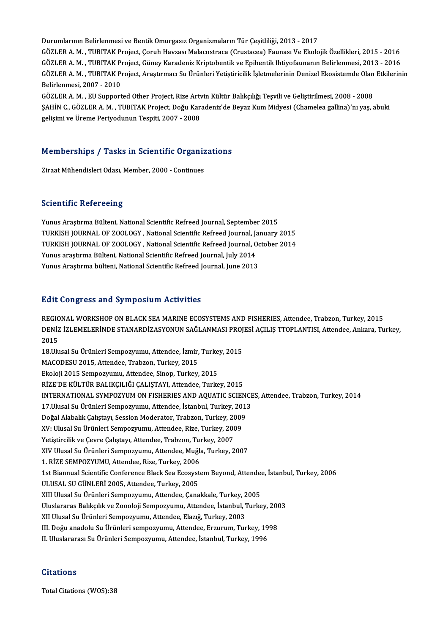DurumlarınınBelirlenmesiveBentikOmurgasızOrganizmalarınTür Çeşitliliği,2013 -2017 Durumlarının Belirlenmesi ve Bentik Omurgasız Organizmaların Tür Çeşitliliği, 2013 - 2017<br>GÖZLER A. M. , TUBITAK Project, Çoruh Havzası Malacostraca (Crustacea) Faunası Ve Ekolojik Özellikleri, 2015 - 2016<br>GÖZLER A. M. , T Durumlarının Belirlenmesi ve Bentik Omurgasız Organizmaların Tür Çeşitliliği, 2013 - 2017<br>GÖZLER A. M. , TUBITAK Project, Çoruh Havzası Malacostraca (Crustacea) Faunası Ve Ekolojik Özellikleri, 2015 - 2016<br>GÖZLER A. M. , T GÖZLER A. M. , TUBITAK Project, Çoruh Havzası Malacostraca (Crustacea) Faunası Ve Ekolojik Özellikleri, 2015 - 2016<br>GÖZLER A. M. , TUBITAK Project, Güney Karadeniz Kriptobentik ve Epibentik Ihtiyofaunanın Belirlenmesi, 201 GÖZLER A. M. , TUBITAK P<br>GÖZLER A. M. , TUBITAK P<sub>i</sub><br>Belirlenmesi, 2007 - 2010<br>GÖZLER A. M. , EU Support GÖZLER A. M. , TUBITAK Project, Araştırmacı Su Ürünleri Yetiştiricilik İşletmelerinin Denizel Ekosistemde Olan<br>Belirlenmesi, 2007 - 2010<br>GÖZLER A. M. , EU Supported Other Project, Rize Artvin Kültür Balıkçılığı Teşvili ve

Belirlenmesi, 2007 - 2010<br>GÖZLER A. M. , EU Supported Other Project, Rize Artvin Kültür Balıkçılığı Teşvili ve Geliştirilmesi, 2008 - 2008<br>ŞAHİN C., GÖZLER A. M. , TUBITAK Project, Doğu Karadeniz'de Beyaz Kum Midyesi (Cham GÖZLER A. M. , EU Supported Other Project, Rize Art<mark><br>ŞAHİN C., GÖZLER A. M. , TUBITAK Project, Doğu Kar</mark><br>gelişimi ve Üreme Periyodunun Tespiti, 2007 - 2008

# gensimi ve oreme reriyodunun Tespid, 2007 - 2008<br>Memberships / Tasks in Scientific Organizations Memberships / Tasks in Scientific Organiz<br>Ziraat Mühendisleri Odası, Member, 2000 - Continues

Ziraat Mühendisleri Odası, Member, 2000 - Continues<br>Scientific Refereeing

Yunus Araştırma Bülteni, National Scientific Refreed Journal, September 2015 Scientific Refereenig<br>Tunus Araştırma Bülteni, National Scientific Refreed Journal, September 2015<br>TURKISH JOURNAL OF ZOOLOGY , National Scientific Befreed Journal, January 2015<br>TURKISH JOURNAL OF ZOOLOGY , National Scient Yunus Araştırma Bülteni, National Scientific Refreed Journal, September 2015<br>TURKISH JOURNAL OF ZOOLOGY , National Scientific Refreed Journal, January 2015<br>TURKISH JOURNAL OF ZOOLOGY , National Scientific Refreed Journal, TURKISH JOURNAL OF ZOOLOGY , National Scientific Refreed Journal, Ja<br>TURKISH JOURNAL OF ZOOLOGY , National Scientific Refreed Journal, O<br>Yunus Arastırma Bülteni, National Scientific Refreed Journal, July 2014<br>Yunus Arastır TURKISH JOURNAL OF ZOOLOGY , National Scientific Refreed Journal, October 2014<br>Yunus araştırma Bülteni, National Scientific Refreed Journal, July 2014<br>Yunus Araştırma bülteni, National Scientific Refreed Journal, June 2013

#### **Edit Congress and Symposium Activities**

REGIONAL WORKSHOP ON BLACK SEA MARINE ECOSYSTEMS AND FISHERIES, Attendee, Trabzon, Turkey, 2015 BUTE UDTIŞT ÜDB ÜHÜ DJ'IHP ODTUM TICEFVTETÜR<br>REGIONAL WORKSHOP ON BLACK SEA MARINE ECOSYSTEMS AND FISHERIES, Attendee, Trabzon, Turkey, 2015<br>DENİZ İZLEMELERİNDE STANARDİZASYONUN SAĞLANMASI PROJESİ AÇILIŞ TTOPLANTISI, Atten REGIC<br>DENIZ<br>2015<br>19 Ub DENİZ İZLEMELERİNDE STANARDİZASYONUN SAĞLANMASI PROJ<br>2015<br>18.Ulusal Su Ürünleri Sempozyumu, Attendee, İzmir, Turkey, 2015<br>MAGODESU 2015, Attendee, Trabaen, Turkey, 2015 2015<br>18.Ulusal Su Ürünleri Sempozyumu, Attendee, İzmir,<br>MACODESU 2015, Attendee, Trabzon, Turkey, 2015<br>Firalaji 2015 Semporuumu, Attendee, Sinan, Turkey, 18.Ulusal Su Ürünleri Sempozyumu, Attendee, İzmir, Turke<br>MACODESU 2015, Attendee, Trabzon, Turkey, 2015<br>Ekoloji 2015 Sempozyumu, Attendee, Sinop, Turkey, 2015<br>PİZE'DE KÜLTÜR PALIKÇILLĞI GALISTAYL Attendee, Turke MACODESU 2015, Attendee, Trabzon, Turkey, 2015<br>Ekoloji 2015 Sempozyumu, Attendee, Sinop, Turkey, 2015<br>RİZE'DE KÜLTÜR BALIKCILIĞI CALISTAYI. Attendee. Turkey. 2015 INTERNATIONAL SYMPOZYUM ON FISHERIES AND AQUATIC SCIENCES, Attendee, Trabzon, Turkey, 2014 RİZE'DE KÜLTÜR BALIKÇILIĞI ÇALIŞTAYI, Attendee, Turkey, 2015<br>INTERNATIONAL SYMPOZYUM ON FISHERIES AND AQUATIC SCIENCE<br>17.Ulusal Su Ürünleri Sempozyumu, Attendee, İstanbul, Turkey, 2013<br>Doğal Alabalık Calıstayı, Session Mod INTERNATIONAL SYMPOZYUM ON FISHERIES AND AQUATIC SCIEN<br>17.Ulusal Su Ürünleri Sempozyumu, Attendee, İstanbul, Turkey, 201:<br>Doğal Alabalık Çalıştayı, Session Moderator, Trabzon, Turkey, 2009<br>YV. Ulusal Su Ürünleri Sempozyumu 17.Ulusal Su Ürünleri Sempozyumu, Attendee, İstanbul, Turkey, 20<br>Doğal Alabalık Çalıştayı, Session Moderator, Trabzon, Turkey, 2009<br>XV: Ulusal Su Ürünleri Sempozyumu, Attendee, Rize, Turkey, 2009<br>Yetistirgilik ve Geyre Çal Doğal Alabalık Çalıştayı, Session Moderator, Trabzon, Turkey, 20<br>XV: Ulusal Su Ürünleri Sempozyumu, Attendee, Rize, Turkey, 200<br>Yetiştircilik ve Çevre Çalıştayı, Attendee, Trabzon, Turkey, 2007<br>XIV Ulusal Su Ürünleri Sempo XV: Ulusal Su Ürünleri Sempozyumu, Attendee, Rize, Turkey, 2009<br>Yetiştircilik ve Çevre Çalıştayı, Attendee, Trabzon, Turkey, 2007<br>XIV Ulusal Su Ürünleri Sempozyumu, Attendee, Muğla, Turkey, 2007<br>1. RİZE SEMPOZYUMU, Attende Yetiştircilik ve Çevre Çalıştayı, Attendee, Trabzon, Tur<br>XIV Ulusal Su Ürünleri Sempozyumu, Attendee, Muğla<br>1. RİZE SEMPOZYUMU, Attendee, Rize, Turkey, 2006<br>1st Piannual Scientifis Conforence Plask See Ecosyst XIV Ulusal Su Ürünleri Sempozyumu, Attendee, Muğla, Turkey, 2007<br>1. RİZE SEMPOZYUMU, Attendee, Rize, Turkey, 2006<br>1st Biannual Scientific Conference Black Sea Ecosystem Beyond, Attendee, İstanbul, Turkey, 2006<br>ULUSAL SU CÜ 1. RİZE SEMPOZYUMU, Attendee, Rize, Turkey, 2006<br>1st Biannual Scientific Conference Black Sea Ecosyst<br>ULUSAL SU GÜNLERİ 2005, Attendee, Turkey, 2005<br>YILUlusal Su Ürünleri Semnegrumu, Attendee, Cana 1st Biannual Scientific Conference Black Sea Ecosystem Beyond, Attendee<br>ULUSAL SU GÜNLERİ 2005, Attendee, Turkey, 2005<br>XIII Ulusal Su Ürünleri Sempozyumu, Attendee, Çanakkale, Turkey, 2005<br>Uluslararas Bakkakkı və Zaoolaji ULUSAL SU GÜNLERİ 2005, Attendee, Turkey, 2005<br>XIII Ulusal Su Ürünleri Sempozyumu, Attendee, Çanakkale, Turkey, 2005<br>Uluslararas Balıkçılık ve Zoooloji Sempozyumu, Attendee, İstanbul, Turkey, 2003<br>XII Ulusal Su Ürünleri Se XIII Ulusal Su Ürünleri Sempozyumu, Attendee, Çanakkale, Turkey, 2<br>Uluslararas Balıkçılık ve Zoooloji Sempozyumu, Attendee, İstanbul, 1<br>XII Ulusal Su Ürünleri Sempozyumu, Attendee, Elazığ, Turkey, 2003<br>III Değu anadelu Su Uluslararas Balıkçılık ve Zoooloji Sempozyumu, Attendee, İstanbul, Turkey, 200<br>XII Ulusal Su Ürünleri Sempozyumu, Attendee, Elazığ, Turkey, 2003<br>III. Doğu anadolu Su Ürünleri sempozyumu, Attendee, Erzurum, Turkey, 1998<br>II. XII Ulusal Su Ürünleri Sempozyumu, Attendee, Elazığ, Turkey, 2003<br>III. Doğu anadolu Su Ürünleri sempozyumu, Attendee, Erzurum, Turkey, 1998<br>II. Uluslararası Su Ürünleri Sempozyumu, Attendee, İstanbul, Turkey, 1996

#### **Citations**

Total Citations (WOS):38